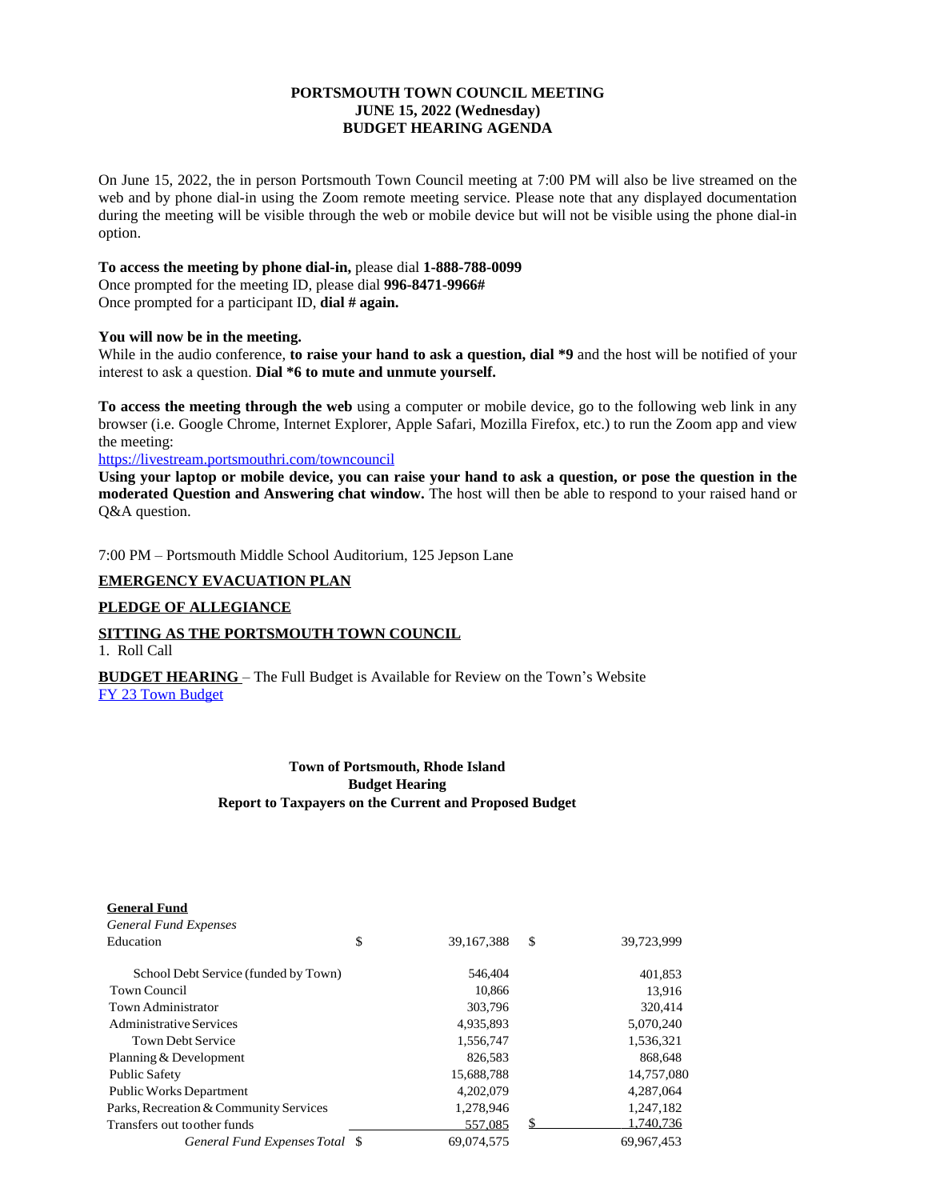# **PORTSMOUTH TOWN COUNCIL MEETING JUNE 15, 2022 (Wednesday) BUDGET HEARING AGENDA**

On June 15, 2022, the in person Portsmouth Town Council meeting at 7:00 PM will also be live streamed on the web and by phone dial-in using the Zoom remote meeting service. Please note that any displayed documentation during the meeting will be visible through the web or mobile device but will not be visible using the phone dial-in option.

## **To access the meeting by phone dial-in,** please dial **1-888-788-0099**

Once prompted for the meeting ID, please dial **996-8471-9966#** Once prompted for a participant ID, **dial # again.**

### **You will now be in the meeting.**

While in the audio conference, **to raise your hand to ask a question, dial \*9** and the host will be notified of your interest to ask a question. **Dial \*6 to mute and unmute yourself.**

**To access the meeting through the web** using a computer or mobile device, go to the following web link in any browser (i.e. Google Chrome, Internet Explorer, Apple Safari, Mozilla Firefox, etc.) to run the Zoom app and view the meeting:

### <https://livestream.portsmouthri.com/towncouncil>

Using your laptop or mobile device, you can raise your hand to ask a question, or pose the question in the **moderated Question and Answering chat window.** The host will then be able to respond to your raised hand or Q&A question.

7:00 PM – Portsmouth Middle School Auditorium, 125 Jepson Lane

### **EMERGENCY EVACUATION PLAN**

## **PLEDGE OF ALLEGIANCE**

# **SITTING AS THE PORTSMOUTH TOWN COUNCIL**

1. Roll Call

**BUDGET HEARING** – The Full Budget is Available for Review on the Town's Website [FY 23 Town Budget](https://www.portsmouthri.gov/ArchiveCenter/ViewFile/Item/370)

# **[Town of Portsmouth, Rhode Island](https://www.portsmouthri.gov/ArchiveCenter/ViewFile/Item/370) [Budget Hearing](https://www.portsmouthri.gov/ArchiveCenter/ViewFile/Item/370) [Report to Taxpayers on the Current and Proposed Budget](https://www.portsmouthri.gov/ArchiveCenter/ViewFile/Item/370)**

| <b>General Fund</b>                    |                  |                  |
|----------------------------------------|------------------|------------------|
| <b>General Fund Expenses</b>           |                  |                  |
| Education                              | \$<br>39.167.388 | \$<br>39,723,999 |
| School Debt Service (funded by Town)   | 546,404          | 401,853          |
| Town Council                           | 10.866           | 13,916           |
| Town Administrator                     | 303,796          | 320,414          |
| Administrative Services                | 4,935,893        | 5,070,240        |
| <b>Town Debt Service</b>               | 1,556,747        | 1,536,321        |
| Planning & Development                 | 826.583          | 868,648          |
| <b>Public Safety</b>                   | 15,688,788       | 14,757,080       |
| <b>Public Works Department</b>         | 4,202,079        | 4,287,064        |
| Parks, Recreation & Community Services | 1,278,946        | 1,247,182        |
| Transfers out toother funds            | 557,085          | \$<br>1,740,736  |
| General Fund Expenses Total \, \,      | 69.074.575       | 69.967.453       |